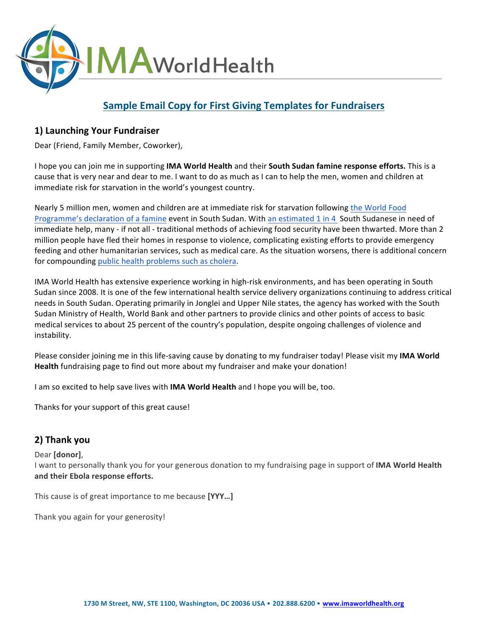

# **Sample Email Copy for First Giving Templates for Fundraisers**

### **1) Launching Your Fundraiser**

Dear (Friend, Family Member, Coworker),

I hope you can join me in supporting IMA World Health and their South Sudan famine response efforts. This is a cause that is very near and dear to me. I want to do as much as I can to help the men, women and children at immediate risk for starvation in the world's youngest country.

Nearly 5 million men, women and children are at immediate risk for starvation following the World Food Programme's declaration of a famine event in South Sudan. With an estimated 1 in 4 South Sudanese in need of immediate help, many - if not all - traditional methods of achieving food security have been thwarted. More than 2 million people have fled their homes in response to violence, complicating existing efforts to provide emergency feeding and other humanitarian services, such as medical care. As the situation worsens, there is additional concern for compounding public health problems such as cholera.

IMA World Health has extensive experience working in high-risk environments, and has been operating in South Sudan since 2008. It is one of the few international health service delivery organizations continuing to address critical needs in South Sudan. Operating primarily in Jonglei and Upper Nile states, the agency has worked with the South Sudan Ministry of Health, World Bank and other partners to provide clinics and other points of access to basic medical services to about 25 percent of the country's population, despite ongoing challenges of violence and instability. 

Please consider joining me in this life-saving cause by donating to my fundraiser today! Please visit my IMA World **Health** fundraising page to find out more about my fundraiser and make your donation!

I am so excited to help save lives with **IMA World Health** and I hope you will be, too.

Thanks for your support of this great cause!

## **2) Thank you**

#### Dear **[donor]**,

I want to personally thank you for your generous donation to my fundraising page in support of IMA World Health and their Ebola response efforts.

This cause is of great importance to me because [YYY...]

Thank you again for your generosity!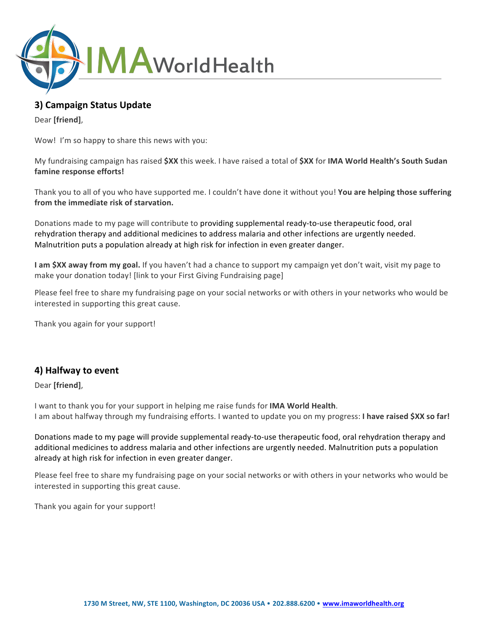

# **3) Campaign Status Update**

Dear **[friend]**,

Wow! I'm so happy to share this news with you:

My fundraising campaign has raised \$XX this week. I have raised a total of \$XX for IMA World Health's South Sudan famine response efforts!

Thank you to all of you who have supported me. I couldn't have done it without you! You are helping those suffering from the immediate risk of starvation.

Donations made to my page will contribute to providing supplemental ready-to-use therapeutic food, oral rehydration therapy and additional medicines to address malaria and other infections are urgently needed. Malnutrition puts a population already at high risk for infection in even greater danger.

**I am \$XX away from my goal.** If you haven't had a chance to support my campaign yet don't wait, visit my page to make your donation today! [link to your First Giving Fundraising page]

Please feel free to share my fundraising page on your social networks or with others in your networks who would be interested in supporting this great cause.

Thank you again for your support!

### **4) Halfway to event**

Dear **[friend]**,

I want to thank you for your support in helping me raise funds for **IMA World Health**. I am about halfway through my fundraising efforts. I wanted to update you on my progress: I have raised \$XX so far!

Donations made to my page will provide supplemental ready-to-use therapeutic food, oral rehydration therapy and additional medicines to address malaria and other infections are urgently needed. Malnutrition puts a population already at high risk for infection in even greater danger.

Please feel free to share my fundraising page on your social networks or with others in your networks who would be interested in supporting this great cause.

Thank you again for your support!